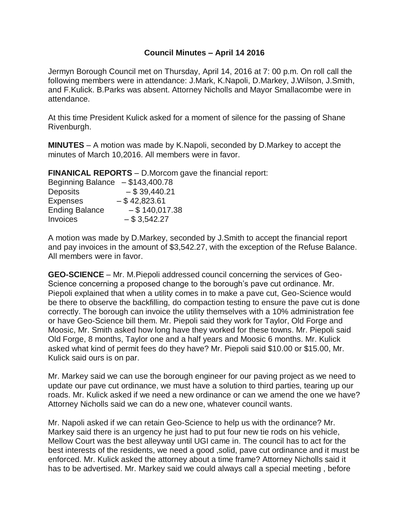## **Council Minutes – April 14 2016**

Jermyn Borough Council met on Thursday, April 14, 2016 at 7: 00 p.m. On roll call the following members were in attendance: J.Mark, K.Napoli, D.Markey, J.Wilson, J.Smith, and F.Kulick. B.Parks was absent. Attorney Nicholls and Mayor Smallacombe were in attendance.

At this time President Kulick asked for a moment of silence for the passing of Shane Rivenburgh.

**MINUTES** – A motion was made by K.Napoli, seconded by D.Markey to accept the minutes of March 10,2016. All members were in favor.

**FINANICAL REPORTS** – D.Morcom gave the financial report:

| Beginning Balance $- $143,400.78$ |                  |
|-----------------------------------|------------------|
| <b>Deposits</b>                   | $-$ \$ 39,440.21 |
| <b>Expenses</b>                   | $-$ \$42,823.61  |
| <b>Ending Balance</b>             | $-$ \$140,017.38 |
| <b>Invoices</b>                   | $-$ \$ 3,542.27  |

A motion was made by D.Markey, seconded by J.Smith to accept the financial report and pay invoices in the amount of \$3,542.27, with the exception of the Refuse Balance. All members were in favor.

**GEO-SCIENCE** – Mr. M.Piepoli addressed council concerning the services of Geo-Science concerning a proposed change to the borough's pave cut ordinance. Mr. Piepoli explained that when a utility comes in to make a pave cut, Geo-Science would be there to observe the backfilling, do compaction testing to ensure the pave cut is done correctly. The borough can invoice the utility themselves with a 10% administration fee or have Geo-Science bill them. Mr. Piepoli said they work for Taylor, Old Forge and Moosic, Mr. Smith asked how long have they worked for these towns. Mr. Piepoli said Old Forge, 8 months, Taylor one and a half years and Moosic 6 months. Mr. Kulick asked what kind of permit fees do they have? Mr. Piepoli said \$10.00 or \$15.00, Mr. Kulick said ours is on par.

Mr. Markey said we can use the borough engineer for our paving project as we need to update our pave cut ordinance, we must have a solution to third parties, tearing up our roads. Mr. Kulick asked if we need a new ordinance or can we amend the one we have? Attorney Nicholls said we can do a new one, whatever council wants.

Mr. Napoli asked if we can retain Geo-Science to help us with the ordinance? Mr. Markey said there is an urgency he just had to put four new tie rods on his vehicle, Mellow Court was the best alleyway until UGI came in. The council has to act for the best interests of the residents, we need a good ,solid, pave cut ordinance and it must be enforced. Mr. Kulick asked the attorney about a time frame? Attorney Nicholls said it has to be advertised. Mr. Markey said we could always call a special meeting , before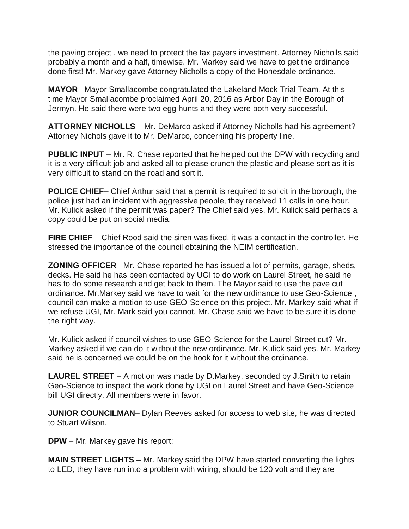the paving project , we need to protect the tax payers investment. Attorney Nicholls said probably a month and a half, timewise. Mr. Markey said we have to get the ordinance done first! Mr. Markey gave Attorney Nicholls a copy of the Honesdale ordinance.

**MAYOR**– Mayor Smallacombe congratulated the Lakeland Mock Trial Team. At this time Mayor Smallacombe proclaimed April 20, 2016 as Arbor Day in the Borough of Jermyn. He said there were two egg hunts and they were both very successful.

**ATTORNEY NICHOLLS** – Mr. DeMarco asked if Attorney Nicholls had his agreement? Attorney Nichols gave it to Mr. DeMarco, concerning his property line.

**PUBLIC INPUT** – Mr. R. Chase reported that he helped out the DPW with recycling and it is a very difficult job and asked all to please crunch the plastic and please sort as it is very difficult to stand on the road and sort it.

**POLICE CHIEF**– Chief Arthur said that a permit is required to solicit in the borough, the police just had an incident with aggressive people, they received 11 calls in one hour. Mr. Kulick asked if the permit was paper? The Chief said yes, Mr. Kulick said perhaps a copy could be put on social media.

**FIRE CHIEF** – Chief Rood said the siren was fixed, it was a contact in the controller. He stressed the importance of the council obtaining the NEIM certification.

**ZONING OFFICER**– Mr. Chase reported he has issued a lot of permits, garage, sheds, decks. He said he has been contacted by UGI to do work on Laurel Street, he said he has to do some research and get back to them. The Mayor said to use the pave cut ordinance. Mr.Markey said we have to wait for the new ordinance to use Geo-Science , council can make a motion to use GEO-Science on this project. Mr. Markey said what if we refuse UGI, Mr. Mark said you cannot. Mr. Chase said we have to be sure it is done the right way.

Mr. Kulick asked if council wishes to use GEO-Science for the Laurel Street cut? Mr. Markey asked if we can do it without the new ordinance. Mr. Kulick said yes. Mr. Markey said he is concerned we could be on the hook for it without the ordinance.

**LAUREL STREET** – A motion was made by D.Markey, seconded by J.Smith to retain Geo-Science to inspect the work done by UGI on Laurel Street and have Geo-Science bill UGI directly. All members were in favor.

**JUNIOR COUNCILMAN**– Dylan Reeves asked for access to web site, he was directed to Stuart Wilson.

**DPW** – Mr. Markey gave his report:

**MAIN STREET LIGHTS** – Mr. Markey said the DPW have started converting the lights to LED, they have run into a problem with wiring, should be 120 volt and they are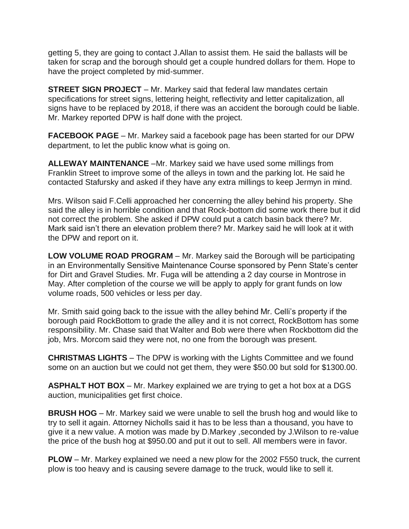getting 5, they are going to contact J.Allan to assist them. He said the ballasts will be taken for scrap and the borough should get a couple hundred dollars for them. Hope to have the project completed by mid-summer.

**STREET SIGN PROJECT** – Mr. Markey said that federal law mandates certain specifications for street signs, lettering height, reflectivity and letter capitalization, all signs have to be replaced by 2018, if there was an accident the borough could be liable. Mr. Markey reported DPW is half done with the project.

**FACEBOOK PAGE** – Mr. Markey said a facebook page has been started for our DPW department, to let the public know what is going on.

**ALLEWAY MAINTENANCE** –Mr. Markey said we have used some millings from Franklin Street to improve some of the alleys in town and the parking lot. He said he contacted Stafursky and asked if they have any extra millings to keep Jermyn in mind.

Mrs. Wilson said F.Celli approached her concerning the alley behind his property. She said the alley is in horrible condition and that Rock-bottom did some work there but it did not correct the problem. She asked if DPW could put a catch basin back there? Mr. Mark said isn't there an elevation problem there? Mr. Markey said he will look at it with the DPW and report on it.

**LOW VOLUME ROAD PROGRAM** – Mr. Markey said the Borough will be participating in an Environmentally Sensitive Maintenance Course sponsored by Penn State's center for Dirt and Gravel Studies. Mr. Fuga will be attending a 2 day course in Montrose in May. After completion of the course we will be apply to apply for grant funds on low volume roads, 500 vehicles or less per day.

Mr. Smith said going back to the issue with the alley behind Mr. Celli's property if the borough paid RockBottom to grade the alley and it is not correct, RockBottom has some responsibility. Mr. Chase said that Walter and Bob were there when Rockbottom did the job, Mrs. Morcom said they were not, no one from the borough was present.

**CHRISTMAS LIGHTS** – The DPW is working with the Lights Committee and we found some on an auction but we could not get them, they were \$50.00 but sold for \$1300.00.

**ASPHALT HOT BOX** – Mr. Markey explained we are trying to get a hot box at a DGS auction, municipalities get first choice.

**BRUSH HOG** – Mr. Markey said we were unable to sell the brush hog and would like to try to sell it again. Attorney Nicholls said it has to be less than a thousand, you have to give it a new value. A motion was made by D.Markey ,seconded by J.Wilson to re-value the price of the bush hog at \$950.00 and put it out to sell. All members were in favor.

**PLOW** – Mr. Markey explained we need a new plow for the 2002 F550 truck, the current plow is too heavy and is causing severe damage to the truck, would like to sell it.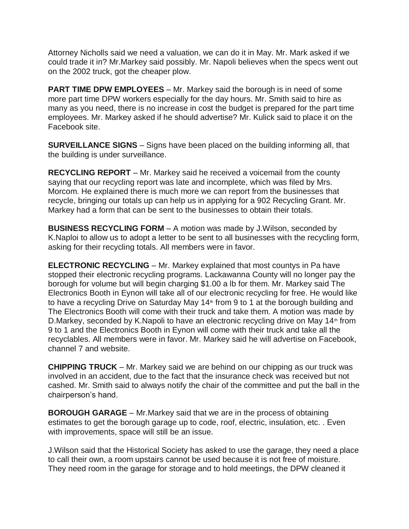Attorney Nicholls said we need a valuation, we can do it in May. Mr. Mark asked if we could trade it in? Mr.Markey said possibly. Mr. Napoli believes when the specs went out on the 2002 truck, got the cheaper plow.

**PART TIME DPW EMPLOYEES** – Mr. Markey said the borough is in need of some more part time DPW workers especially for the day hours. Mr. Smith said to hire as many as you need, there is no increase in cost the budget is prepared for the part time employees. Mr. Markey asked if he should advertise? Mr. Kulick said to place it on the Facebook site.

**SURVEILLANCE SIGNS** – Signs have been placed on the building informing all, that the building is under surveillance.

**RECYCLING REPORT** – Mr. Markey said he received a voicemail from the county saying that our recycling report was late and incomplete, which was filed by Mrs. Morcom. He explained there is much more we can report from the businesses that recycle, bringing our totals up can help us in applying for a 902 Recycling Grant. Mr. Markey had a form that can be sent to the businesses to obtain their totals.

**BUSINESS RECYCLING FORM** – A motion was made by J.Wilson, seconded by K.Naploi to allow us to adopt a letter to be sent to all businesses with the recycling form, asking for their recycling totals. All members were in favor.

**ELECTRONIC RECYCLING** – Mr. Markey explained that most countys in Pa have stopped their electronic recycling programs. Lackawanna County will no longer pay the borough for volume but will begin charging \$1.00 a lb for them. Mr. Markey said The Electronics Booth in Eynon will take all of our electronic recycling for free. He would like to have a recycling Drive on Saturday May  $14<sup>th</sup>$  from 9 to 1 at the borough building and The Electronics Booth will come with their truck and take them. A motion was made by D.Markey, seconded by K.Napoli to have an electronic recycling drive on May 14<sup>th</sup> from 9 to 1 and the Electronics Booth in Eynon will come with their truck and take all the recyclables. All members were in favor. Mr. Markey said he will advertise on Facebook, channel 7 and website.

**CHIPPING TRUCK** – Mr. Markey said we are behind on our chipping as our truck was involved in an accident, due to the fact that the insurance check was received but not cashed. Mr. Smith said to always notify the chair of the committee and put the ball in the chairperson's hand.

**BOROUGH GARAGE** – Mr.Markey said that we are in the process of obtaining estimates to get the borough garage up to code, roof, electric, insulation, etc. . Even with improvements, space will still be an issue.

J.Wilson said that the Historical Society has asked to use the garage, they need a place to call their own, a room upstairs cannot be used because it is not free of moisture. They need room in the garage for storage and to hold meetings, the DPW cleaned it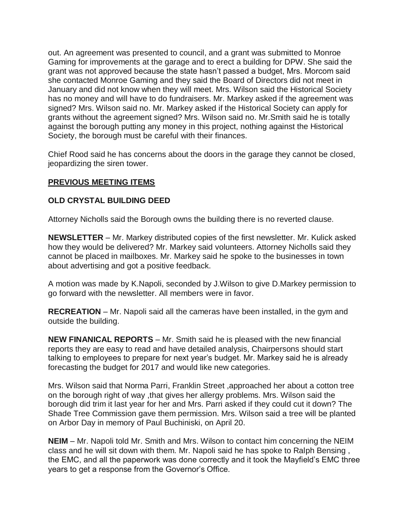out. An agreement was presented to council, and a grant was submitted to Monroe Gaming for improvements at the garage and to erect a building for DPW. She said the grant was not approved because the state hasn't passed a budget, Mrs. Morcom said she contacted Monroe Gaming and they said the Board of Directors did not meet in January and did not know when they will meet. Mrs. Wilson said the Historical Society has no money and will have to do fundraisers. Mr. Markey asked if the agreement was signed? Mrs. Wilson said no. Mr. Markey asked if the Historical Society can apply for grants without the agreement signed? Mrs. Wilson said no. Mr.Smith said he is totally against the borough putting any money in this project, nothing against the Historical Society, the borough must be careful with their finances.

Chief Rood said he has concerns about the doors in the garage they cannot be closed, jeopardizing the siren tower.

## **PREVIOUS MEETING ITEMS**

## **OLD CRYSTAL BUILDING DEED**

Attorney Nicholls said the Borough owns the building there is no reverted clause.

**NEWSLETTER** – Mr. Markey distributed copies of the first newsletter. Mr. Kulick asked how they would be delivered? Mr. Markey said volunteers. Attorney Nicholls said they cannot be placed in mailboxes. Mr. Markey said he spoke to the businesses in town about advertising and got a positive feedback.

A motion was made by K.Napoli, seconded by J.Wilson to give D.Markey permission to go forward with the newsletter. All members were in favor.

**RECREATION** – Mr. Napoli said all the cameras have been installed, in the gym and outside the building.

**NEW FINANICAL REPORTS** – Mr. Smith said he is pleased with the new financial reports they are easy to read and have detailed analysis, Chairpersons should start talking to employees to prepare for next year's budget. Mr. Markey said he is already forecasting the budget for 2017 and would like new categories.

Mrs. Wilson said that Norma Parri, Franklin Street ,approached her about a cotton tree on the borough right of way ,that gives her allergy problems. Mrs. Wilson said the borough did trim it last year for her and Mrs. Parri asked if they could cut it down? The Shade Tree Commission gave them permission. Mrs. Wilson said a tree will be planted on Arbor Day in memory of Paul Buchiniski, on April 20.

**NEIM** – Mr. Napoli told Mr. Smith and Mrs. Wilson to contact him concerning the NEIM class and he will sit down with them. Mr. Napoli said he has spoke to Ralph Bensing , the EMC, and all the paperwork was done correctly and it took the Mayfield's EMC three years to get a response from the Governor's Office.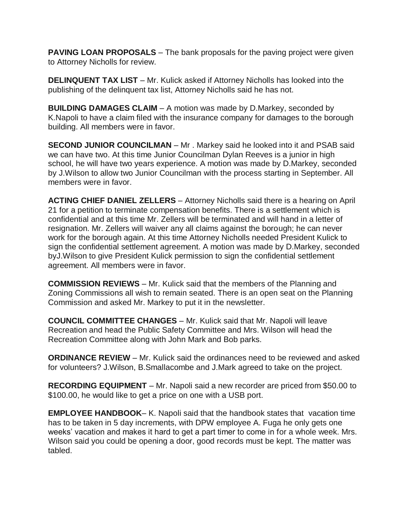**PAVING LOAN PROPOSALS** – The bank proposals for the paving project were given to Attorney Nicholls for review.

**DELINQUENT TAX LIST** – Mr. Kulick asked if Attorney Nicholls has looked into the publishing of the delinquent tax list, Attorney Nicholls said he has not.

**BUILDING DAMAGES CLAIM** – A motion was made by D.Markey, seconded by K.Napoli to have a claim filed with the insurance company for damages to the borough building. All members were in favor.

**SECOND JUNIOR COUNCILMAN** – Mr . Markey said he looked into it and PSAB said we can have two. At this time Junior Councilman Dylan Reeves is a junior in high school, he will have two years experience. A motion was made by D.Markey, seconded by J.Wilson to allow two Junior Councilman with the process starting in September. All members were in favor.

**ACTING CHIEF DANIEL ZELLERS** – Attorney Nicholls said there is a hearing on April 21 for a petition to terminate compensation benefits. There is a settlement which is confidential and at this time Mr. Zellers will be terminated and will hand in a letter of resignation. Mr. Zellers will waiver any all claims against the borough; he can never work for the borough again. At this time Attorney Nicholls needed President Kulick to sign the confidential settlement agreement. A motion was made by D.Markey, seconded byJ.Wilson to give President Kulick permission to sign the confidential settlement agreement. All members were in favor.

**COMMISSION REVIEWS** – Mr. Kulick said that the members of the Planning and Zoning Commissions all wish to remain seated. There is an open seat on the Planning Commission and asked Mr. Markey to put it in the newsletter.

**COUNCIL COMMITTEE CHANGES** – Mr. Kulick said that Mr. Napoli will leave Recreation and head the Public Safety Committee and Mrs. Wilson will head the Recreation Committee along with John Mark and Bob parks.

**ORDINANCE REVIEW** – Mr. Kulick said the ordinances need to be reviewed and asked for volunteers? J.Wilson, B.Smallacombe and J.Mark agreed to take on the project.

**RECORDING EQUIPMENT** – Mr. Napoli said a new recorder are priced from \$50.00 to \$100.00, he would like to get a price on one with a USB port.

**EMPLOYEE HANDBOOK**– K. Napoli said that the handbook states that vacation time has to be taken in 5 day increments, with DPW employee A. Fuga he only gets one weeks' vacation and makes it hard to get a part timer to come in for a whole week. Mrs. Wilson said you could be opening a door, good records must be kept. The matter was tabled.